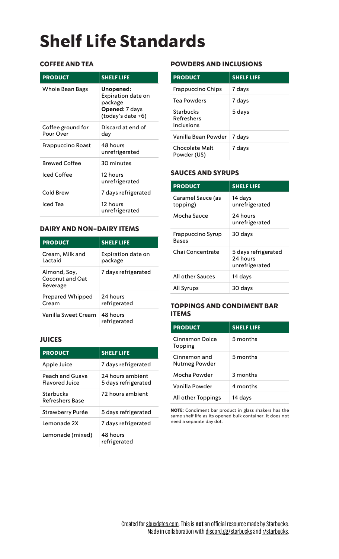# **Shelf Life Standards**

# **COFFEE AND TEA**

| <b>PRODUCT</b>                 | <b>SHELF LIFE</b>                                                                        |
|--------------------------------|------------------------------------------------------------------------------------------|
| Whole Bean Bags                | Unopened:<br><b>Expiration date on</b><br>package<br>Opened: 7 days<br>(today's date +6) |
| Coffee ground for<br>Pour Over | Discard at end of<br>day                                                                 |
| Frappuccino Roast              | 48 hours<br>unrefrigerated                                                               |
| <b>Brewed Coffee</b>           | 30 minutes                                                                               |
| <b>Iced Coffee</b>             | 12 hours<br>unrefrigerated                                                               |
| Cold Brew                      | 7 days refrigerated                                                                      |
| Iced Tea                       | 12 hours<br>unrefrigerated                                                               |

#### **DAIRY AND NON-DAIRY ITEMS**

| <b>PRODUCT</b>                              | <b>SHELF LIFE</b>             |
|---------------------------------------------|-------------------------------|
| Cream, Milk and<br>Lactaid                  | Expiration date on<br>package |
| Almond, Soy,<br>Coconut and Oat<br>Beverage | 7 days refrigerated           |
| <b>Prepared Whipped</b><br>Cream            | 24 hours<br>refrigerated      |
| Vanilla Sweet Cream                         | 48 hours<br>refrigerated      |

# **JUICES**

| <b>PRODUCT</b>                           | <b>SHELF LIFE</b>                       |
|------------------------------------------|-----------------------------------------|
| Apple Juice                              | 7 days refrigerated                     |
| Peach and Guava<br><b>Flavored Juice</b> | 24 hours ambient<br>5 days refrigerated |
| Starbucks<br>Refreshers Base             | 72 hours ambient                        |
| Strawberry Purée                         | 5 days refrigerated                     |
| Lemonade 2X                              | 7 days refrigerated                     |
| Lemonade (mixed)                         | 48 hours<br>refrigerated                |

# **POWDERS AND INCLUSIONS**

| <b>PRODUCT</b>                        | <b>SHELF LIFE</b> |
|---------------------------------------|-------------------|
| <b>Frappuccino Chips</b>              | 7 days            |
| Tea Powders                           | 7 days            |
| Starbucks<br>Refreshers<br>Inclusions | 5 days            |
| Vanilla Bean Powder                   | 7 days            |
| Chocolate Malt<br>Powder (US)         | 7 days            |

# **SAUCES AND SYRUPS**

| <b>PRODUCT</b>                | <b>SHELF LIFE</b>                                 |
|-------------------------------|---------------------------------------------------|
| Caramel Sauce (as<br>topping) | 14 days<br>unrefrigerated                         |
| Mocha Sauce                   | 24 hours<br>unrefrigerated                        |
| Frappuccino Syrup<br>Bases    | 30 days                                           |
| Chai Concentrate              | 5 days refrigerated<br>24 hours<br>unrefrigerated |
| All other Sauces              | 14 days                                           |
| <b>All Syrups</b>             | 30 days                                           |

#### **TOPPINGS AND CONDIMENT BAR ITEMS**

| <b>PRODUCT</b>                | <b>SHELF LIFE</b> |
|-------------------------------|-------------------|
| Cinnamon Dolce<br>Topping     | 5 months          |
| Cinnamon and<br>Nutmeg Powder | 5 months          |
| Mocha Powder                  | 3 months          |
| Vanilla Powder                | 4 months          |
| All other Toppings            | 14 days           |

**NOTE:** Condiment bar product in glass shakers has the same shelf life as its opened bulk container. It does not need a separate day dot.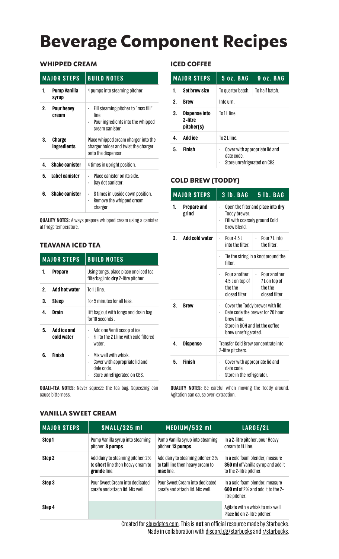# **Beverage Component Recipes**

#### **WHIPPED CREAM**

|    | <b>MAJOR STEPS</b>           | <b>BUILD NOTES</b>                                                                                   |
|----|------------------------------|------------------------------------------------------------------------------------------------------|
| 1. | Pump Vanilla<br>syrup        | 4 pumps into steaming pitcher.                                                                       |
| 2. | Pour heavy<br>cream          | Fill steaming pitcher to "max fill"<br>line.<br>Pour ingredients into the whipped<br>cream canister. |
| 3. | <b>Charge</b><br>ingredients | Place whipped cream charger into the<br>charger holder and twist the charger<br>onto the dispenser.  |
| 4. | <b>Shake canister</b>        | 4 times in upright position.                                                                         |
| 5. | Label canister               | Place canister on its side.<br>Day dot canister.                                                     |
| 6. | <b>Shake canister</b>        | 8 times in upside down position.<br>Remove the whipped cream<br>charger.                             |

**QUALITY NOTES:** Always prepare whipped cream using a canister at fridge temperature.

# **TEAVANA ICED TEA**

|              | <b>MAJOR STEPS</b>        | <b>BUILD NOTES</b>                                                                                      |
|--------------|---------------------------|---------------------------------------------------------------------------------------------------------|
| 1.           | <b>Prepare</b>            | Using tongs, place place one iced tea<br>filterbag into dry 2-litre pitcher.                            |
| $\mathbf{2}$ | <b>Add hot water</b>      | To 1 L line.                                                                                            |
| 3.           | Steep                     | For 5 minutes for all teas.                                                                             |
| 4.           | <b>Drain</b>              | Lift bag out with tongs and drain bag<br>for 10 seconds                                                 |
| 5.           | Add ice and<br>cold water | Add one Venti scoop of ice.<br>$\ddot{\phantom{0}}$<br>Fill to the 21 line with cold filtered<br>water. |
| 6.           | Finish                    | Mix well with whisk.<br>Cover with appropriate lid and<br>date code.<br>Store unrefrigerated on CBS.    |

**QUALI-TEA NOTES:** Never squeeze the tea bag. Squeezing can cause bitterness.

#### **ICED COFFEE**

|    | <b>MAJOR STEPS</b>                     | <b>5 oz. BAG</b>                                                             | 9 oz. BAG |  |  |
|----|----------------------------------------|------------------------------------------------------------------------------|-----------|--|--|
| 1. | <b>Set brew size</b>                   | To half batch.<br>To quarter batch.                                          |           |  |  |
| 2. | <b>Brew</b>                            | Into urn.                                                                    |           |  |  |
| 3. | Dispense into<br>2-litre<br>pitcher(s) | To 11 line.                                                                  |           |  |  |
| 4. | Add ice                                | To $21$ line.                                                                |           |  |  |
| 5. | Finish                                 | Cover with appropriate lid and<br>date code.<br>Store unrefrigerated on CBS. |           |  |  |

# **COLD BREW (TODDY)**

|    | <b>MAJOR STEPS</b>   | 3 lb. BAG                                                                                                                                    | 5 lb. BAG                                                          |  |
|----|----------------------|----------------------------------------------------------------------------------------------------------------------------------------------|--------------------------------------------------------------------|--|
| 1. | Prepare and<br>grind | Open the filter and place into dry<br>Toddy brewer.<br>Fill with coarsely ground Cold<br>$\ddot{\phantom{0}}$<br><b>Rrew Rlend</b>           |                                                                    |  |
| 2. | Add cold water       | Pour 4.5 L<br>$\cdot$ Pour 7 L into<br>$\ddot{\phantom{0}}$<br>into the filter.<br>the filter.                                               |                                                                    |  |
|    |                      | Tie the string in a knot around the<br>filter.                                                                                               |                                                                    |  |
|    |                      | Pour another<br>4.5 L on top of<br>the the<br>closed filter.                                                                                 | $\cdot$ Pour another<br>7 L on top of<br>the the<br>closed filter. |  |
| 3. | <b>Brew</b>          | Cover the Toddy brewer with lid.<br>Date code the brewer for 20 hour<br>hrew time<br>Store in BOH and let the coffee<br>brew unrefrigerated. |                                                                    |  |
| 4. | <b>Dispense</b>      | Transfer Cold Brew concentrate into<br>2-litre pitchers.                                                                                     |                                                                    |  |
| 5. | <b>Finish</b>        | Cover with appropriate lid and<br>date code.<br>Store in the refrigerator.                                                                   |                                                                    |  |

**QUALITY NOTES:** Be careful when moving the Toddy around. Agitation can cause over-extraction.

# **VANILLA SWEET CREAM**

| <b>MAJOR STEPS</b> | SMALL/325 ml                                                                           | MEDIUM/532 ml                                                                             | LARGE/2L                                                                                                |
|--------------------|----------------------------------------------------------------------------------------|-------------------------------------------------------------------------------------------|---------------------------------------------------------------------------------------------------------|
| Step1              | Pump Vanilla syrup into steaming<br>pitcher: 8 pumps.                                  | Pump Vanilla syrup into steaming<br>pitcher: 13 pumps.                                    | In a 2-litre pitcher, pour Heavy<br>cream to <b>1L</b> line.                                            |
| Step 2             | Add dairy to steaming pitcher: 2%<br>to short line then heavy cream to<br>grande line. | Add dairy to steaming pitcher: 2%<br>to <b>tall</b> line then heavy cream to<br>max line. | In a cold foam blender, measure<br><b>350 ml</b> of Vanilla syrup and add it<br>to the 2-litre pitcher. |
| Step 3             | Pour Sweet Cream into dedicated<br>carafe and attach lid. Mix well.                    | Pour Sweet Cream into dedicated<br>carafe and attach lid. Mix well.                       | In a cold foam blender, measure<br><b>600 ml</b> of 2% and add it to the 2-<br>litre pitcher.           |
| Step 4             |                                                                                        |                                                                                           | Agitate with a whisk to mix well.<br>Place lid on 2-litre pitcher.                                      |

Created for [sbuxdates.com.](http://sbuxdates.com) This is **not** an official resource made by Starbucks. Made in collaboration with [discord.gg/starbucks](https://discord.gg/starbucks) and [r/starbucks.](https://www.reddit.com/r/starbucks/)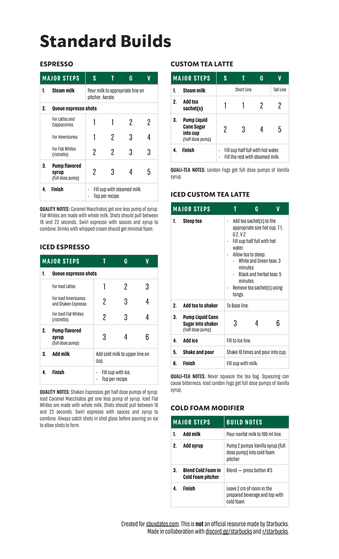# **Standard Builds**

#### **ESPRESSO**

|    | <b>MAJOR STEPS</b>                                | S                                                    |   | G |     |
|----|---------------------------------------------------|------------------------------------------------------|---|---|-----|
| 1. | <b>Steam milk</b>                                 | Pour milk to appropriate line on<br>pitcher. Aerate. |   |   |     |
| 2. | Queue espresso shots                              |                                                      |   |   |     |
|    | For Lattes and<br>Cappuccinos                     |                                                      |   | 2 | 2   |
|    | <b>For Americanos</b>                             |                                                      | 2 | 3 |     |
|    | For Flat Whites<br>(ristretto)                    | 2                                                    | 2 |   | 3   |
| 3. | <b>Pump flavored</b><br>syrup<br>(full dose pump) | 2                                                    | 3 |   | 'n. |
| 4  | <b>Finish</b>                                     | Fill cup with steamed milk.<br>Top per recipe.       |   |   |     |

**QUALITY NOTES:** Caramel Macchiatos get one less pump of syrup. Flat Whites are made with whole milk. Shots should pull between 18 and 23 seconds. Swirl espresso with sauces and syrup to combine. Drinks with whipped cream should get minimal foam.

#### **ICED ESPRESSO**

| <b>MAJOR STEPS</b> |                                                   |                                        | G |   |  |  |  |
|--------------------|---------------------------------------------------|----------------------------------------|---|---|--|--|--|
| 1.                 | Queue espresso shots                              |                                        |   |   |  |  |  |
|                    | For Iced Lattes                                   |                                        | 2 | 3 |  |  |  |
|                    | <b>For Iced Americanos</b><br>and Shaken Espresso | 2                                      | 3 |   |  |  |  |
|                    | For Iced Flat Whites<br>(ristretto)               | 2                                      | 3 |   |  |  |  |
| 2.                 | <b>Pump flavored</b><br>syrup<br>(full dose pump) | 3                                      |   | ჩ |  |  |  |
| 3.                 | <b>Add milk</b>                                   | Add cold milk to upper line on<br>CUD. |   |   |  |  |  |
| 4                  | <b>Finish</b>                                     | Fill cup with ice.<br>Top per recipe.  |   |   |  |  |  |

**QUALITY NOTES:** Shaken Espressos get half dose pumps of syrup. Iced Caramel Macchiatos get one less pump of syrup. Iced Flat Whites are made with whole milk. Shots should pull between 18 and 23 seconds. Swirl espresso with sauces and syrup to combine. Always catch shots in shot glass before pouring on ice to allow shots to form.

### **CUSTOM TEA LATTE**

| <b>MAJOR STEPS</b> |                                                                  | S                                                                      |   | G |  |
|--------------------|------------------------------------------------------------------|------------------------------------------------------------------------|---|---|--|
| 1.                 | <b>Steam milk</b>                                                | Short Line<br>Tall Line                                                |   |   |  |
| 2.                 | Add tea<br>sachet(s)                                             |                                                                        |   | 7 |  |
| 3.                 | Pump Liquid<br><b>Cane Sugar</b><br>into cup<br>(half dose pump) | 2                                                                      | 3 |   |  |
|                    | Finish                                                           | Fill cup half full with hot water.<br>Fill the rest with steamed milk. |   |   |  |

**QUALI-TEA NOTES:** London Fogs get full dose pumps of Vanilla syrup.

# **ICED CUSTOM TEA LATTE**

| <b>MAJOR STEPS</b> |                                                                  | T                                                                                                                                                                                                                                                           | G |   |  |
|--------------------|------------------------------------------------------------------|-------------------------------------------------------------------------------------------------------------------------------------------------------------------------------------------------------------------------------------------------------------|---|---|--|
| 1.                 | Steep tea                                                        | Add tea sachet(s) to the<br>appropriate size hot cup. T:1,<br>G:2, V:2<br>Fill cup half full with hot<br>water.<br>Allow tea to steep:<br>White and Green teas: 3<br>minutes<br>Black and herbal teas: 5<br>minutes<br>Remove tea sachet(s) using<br>tongs. |   |   |  |
| 2 <sup>1</sup>     | Add tea to shaker                                                | To Base line                                                                                                                                                                                                                                                |   |   |  |
| 3.                 | <b>Pump Liquid Cane</b><br>Sugar into shaker<br>(half dose pump) | 3                                                                                                                                                                                                                                                           | 4 | 6 |  |
| 4.                 | Add ice                                                          | Fill to Ice line.                                                                                                                                                                                                                                           |   |   |  |
| 5.                 | <b>Shake and pour</b>                                            | Shake 10 times and pour into cup.                                                                                                                                                                                                                           |   |   |  |
| 6.                 | Finish                                                           | Fill cup with milk.                                                                                                                                                                                                                                         |   |   |  |

**QUALI-TEA NOTES:** Never squeeze the tea bag. Squeezing can cause bitterness. Iced London Fogs get full dose pumps of Vanilla syrup.

# **COLD FOAM MODIFIER**

| <b>MAJOR STEPS</b> |                                                       | <b>BUILD NOTES</b>                                                        |  |  |
|--------------------|-------------------------------------------------------|---------------------------------------------------------------------------|--|--|
|                    | Add milk                                              | Pour nonfat milk to 100 ml line.                                          |  |  |
| 2.                 | Add syrup                                             | Pump 2 pumps Vanilla syrup (full<br>dose pump) into cold foam<br>pitcher  |  |  |
| 3.                 | <b>Blend Cold Foam in</b><br><b>Cold Foam pitcher</b> | Blend $-$ press button #3.                                                |  |  |
|                    | Finish                                                | Leave 2 cm of room in the<br>prepared beverage and top with<br>cold foam. |  |  |

Created for [sbuxdates.com.](http://sbuxdates.com) This is **not** an official resource made by Starbucks. Made in collaboration with [discord.gg/starbucks](https://discord.gg/starbucks) and [r/starbucks.](https://www.reddit.com/r/starbucks/)